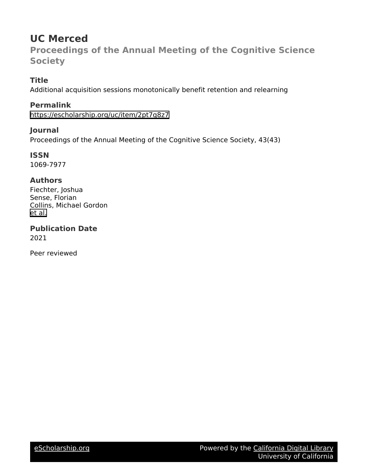# **UC Merced**

**Proceedings of the Annual Meeting of the Cognitive Science Society**

# **Title**

Additional acquisition sessions monotonically benefit retention and relearning

# **Permalink**

<https://escholarship.org/uc/item/2pt7q8z7>

# **Journal**

Proceedings of the Annual Meeting of the Cognitive Science Society, 43(43)

**ISSN** 1069-7977

# **Authors**

Fiechter, Joshua Sense, Florian Collins, Michael Gordon [et al.](https://escholarship.org/uc/item/2pt7q8z7#author)

**Publication Date** 2021

Peer reviewed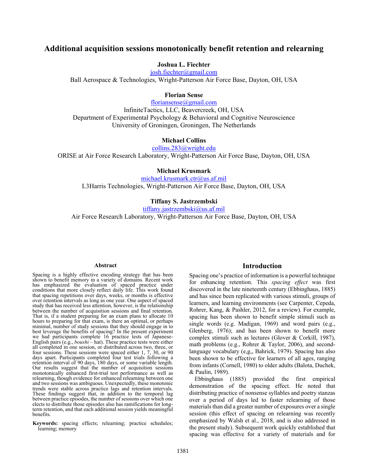# **Additional acquisition sessions monotonically benefit retention and relearning**

# **Joshua L. Fiechter**

josh.fiechter@gmail.com Ball Aerospace & Technologies, Wright-Patterson Air Force Base, Dayton, OH, USA

#### **Florian Sense**

floriansense@gmail.com InfiniteTactics, LLC, Beavercreek, OH, USA Department of Experimental Psychology & Behavioral and Cognitive Neuroscience University of Groningen, Groningen, The Netherlands

### **Michael Collins**

collins.283@wright.edu ORISE at Air Force Research Laboratory, Wright-Patterson Air Force Base, Dayton, OH, USA

#### **Michael Krusmark**

michael.krusmark.ctr@us.af.mil L3Harris Technologies, Wright-Patterson Air Force Base, Dayton, OH, USA

## **Tiffany S. Jastrzembski**

tiffany.jastrzembski@us.af.mil

Air Force Research Laboratory, Wright-Patterson Air Force Base, Dayton, OH, USA

#### **Abstract**

Spacing is a highly effective encoding strategy that has been shown to benefit memory in a variety of domains. Recent work has emphasized the evaluation of spaced practice under conditions that more closely reflect daily life. This work found that spacing repetitions over days, weeks, or months is effective over retention intervals as long as one year. One aspect of spaced study that has received less attention, however, is the relationship between the number of acquisition sessions and final retention. That is, if a student preparing for an exam plans to allocate 10 hours to preparing for that exam, is there an optimal, or perhaps minimal, number of study sessions that they should engage in to best leverage the benefits of spacing? In the present experiment we had participants complete 16 practice tests of Japanese-English pairs (e.g., *boushi* – hat). These practice tests were either all completed in one session, or distributed across two, three, or four sessions. These sessions were spaced either 1, 7, 30, or 90 days apart. Participants completed four test trials following a retention interval of 90 days, 180 days, or some variable length. Our results suggest that the number of acquisition sessions monotonically enhanced first-trial test performance as well as relearning, though evidence for enhanced relearning between one and two sessions was ambiguous. Unexpectedly, these monotonic trends were stable across practice lags and retention intervals. These findings suggest that, in addition to the temporal lag between practice episodes, the number of sessions over which one elects to distribute those episodes also has ramifications for longterm retention, and that each additional session yields meaningful benefits.

**Keywords:** spacing effects; relearning; practice schedules; learning; memory

#### **Introduction**

Spacing one's practice of information is a powerful technique for enhancing retention. This *spacing effect* was first discovered in the late nineteenth century (Ebbinghaus, 1885) and has since been replicated with various stimuli, groups of learners, and learning environments (see Carpenter, Cepeda, Rohrer, Kang, & Pashler, 2012, for a review). For example, spacing has been shown to benefit simple stimuli such as single words (e.g. Madigan, 1969) and word pairs (e.g., Glenberg, 1976); and has been shown to benefit more complex stimuli such as lectures (Glover & Corkill, 1987), math problems (e.g., Rohrer & Taylor, 2006), and secondlanguage vocabulary (e,g,, Bahrick, 1979). Spacing has also been shown to be effective for learners of all ages, ranging from infants (Cornell, 1980) to older adults (Balota, Duchek, & Paulin, 1989).

Ebbinghaus (1885) provided the first empirical demonstration of the spacing effect. He noted that distributing practice of nonsense syllables and poetry stanzas over a period of days led to faster relearning of those materials than did a greater number of exposures over a single session (this effect of spacing on relearning was recently emphasized by Walsh et al., 2018, and is also addressed in the present study). Subsequent work quickly established that spacing was effective for a variety of materials and for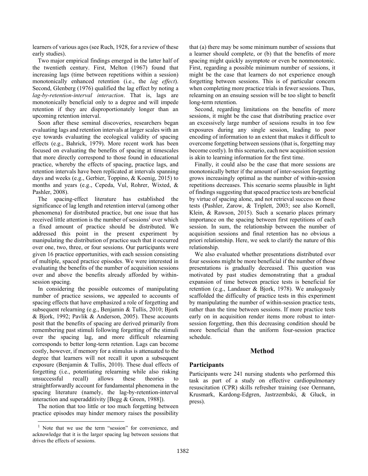learners of various ages (see Ruch, 1928, for a review of these early studies).

Two major empirical findings emerged in the latter half of the twentieth century. First, Melton (1967) found that increasing lags (time between repetitions within a session) monotonically enhanced retention (i.e., the *lag effect*). Second, Glenberg (1976) qualified the lag effect by noting a *lag-by-retention-interval interaction*. That is, lags are monotonically beneficial only to a degree and will impede retention if they are disproportionately longer than an upcoming retention interval.

Soon after these seminal discoveries, researchers began evaluating lags and retention intervals at larger scales with an eye towards evaluating the ecological validity of spacing effects (e.g., Bahrick, 1979). More recent work has been focused on evaluating the benefits of spacing at timescales that more directly correspond to those found in educational practice, whereby the effects of spacing, practice lags, and retention intervals have been replicated at intervals spanning days and weeks (e.g., Gerbier, Toppino, & Koenig, 2015) to months and years (e.g., Cepeda, Vul, Rohrer, Wixted, & Pashler, 2008).

The spacing-effect literature has established the significance of lag length and retention interval (among other phenomena) for distributed practice, but one issue that has received little attention is the number of sessions<sup>1</sup> over which a fixed amount of practice should be distributed. We addressed this point in the present experiment by manipulating the distribution of practice such that it occurred over one, two, three, or four sessions. Our participants were given 16 practice opportunities, with each session consisting of multiple, spaced practice episodes. We were interested in evaluating the benefits of the number of acquisition sessions over and above the benefits already afforded by withinsession spacing.

In considering the possible outcomes of manipulating number of practice sessions, we appealed to accounts of spacing effects that have emphasized a role of forgetting and subsequent relearning (e.g., Benjamin & Tullis, 2010; Bjork & Bjork, 1992; Pavlik & Anderson, 2005). These accounts posit that the benefits of spacing are derived primarily from remembering past stimuli following forgetting of the stimuli over the spacing lag, and more difficult relearning corresponds to better long-term retention. Lags can become costly, however, if memory for a stimulus is attenuated to the degree that learners will not recall it upon a subsequent exposure (Benjamin & Tullis, 2010). These dual effects of forgetting (i.e., potentiating relearning while also risking unsuccessful recall) allows these theories to straightforwardly account for fundamental phenomena in the spacing literature (namely, the lag-by-retention-interval interaction and superadditivity [Begg & Green, 1988]).

The notion that too little or too much forgetting between practice episodes may hinder memory raises the possibility that (a) there may be some minimum number of sessions that a learner should complete, or (b) that the benefits of more spacing might quickly asymptote or even be nonmonotonic. First, regarding a possible minimum number of sessions, it might be the case that learners do not experience enough forgetting between sessions. This is of particular concern when completing more practice trials in fewer sessions. Thus, relearning on an ensuing session will be too slight to benefit long-term retention.

Second, regarding limitations on the benefits of more sessions, it might be the case that distributing practice over an excessively large number of sessions results in too few exposures during any single session, leading to poor encoding of information to an extent that makes it difficult to overcome forgetting between sessions (that is, forgetting may become costly). In this scenario, each new acquisition session is akin to learning information for the first time.

Finally, it could also be the case that more sessions are monotonically better if the amount of inter-session forgetting grows increasingly optimal as the number of within-session repetitions decreases. This scenario seems plausible in light of findings suggesting that spaced practice tests are beneficial by virtue of spacing alone, and not retrieval success on those tests (Pashler, Zarow, & Triplett, 2003; see also Kornell, Klein, & Rawson, 2015). Such a scenario places primary importance on the spacing between first repetitions of each session. In sum, the relationship between the number of acquisition sessions and final retention has no obvious a priori relationship. Here, we seek to clarify the nature of this relationship.

We also evaluated whether presentations distributed over four sessions might be more beneficial if the number of those presentations is gradually decreased. This question was motivated by past studies demonstrating that a gradual expansion of time between practice tests is beneficial for retention (e.g., Landauer & Bjork, 1978). We analogously scaffolded the difficulty of practice tests in this experiment by manipulating the number of within-session practice tests, rather than the time between sessions. If more practice tests early on in acquisition render items more robust to intersession forgetting, then this decreasing condition should be more beneficial than the uniform four-session practice schedule.

# **Method**

# **Participants**

Participants were 241 nursing students who performed this task as part of a study on effective cardiopulmonary resuscitation (CPR) skills refresher training (see Oermann, Krusmark, Kardong-Edgren, Jastrzembski, & Gluck, in press).

<sup>&</sup>lt;sup>1</sup> Note that we use the term "session" for convenience, and acknowledge that it is the larger spacing lag between sessions that drives the effects of sessions.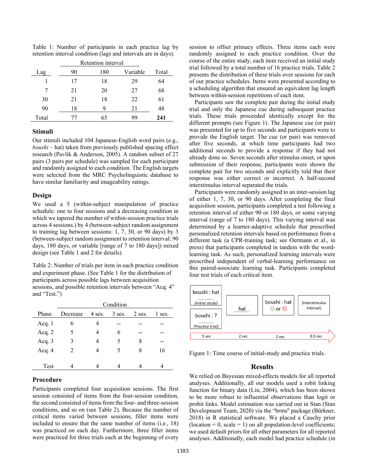|       | Retention interval |     |          |       |  |  |  |
|-------|--------------------|-----|----------|-------|--|--|--|
| Lag   | 90                 | 180 | Variable | Total |  |  |  |
|       | 17                 | 18  | 29       | 64    |  |  |  |
|       | 21                 | 20  | 27       | 68    |  |  |  |
| 30    | 21                 | 18  | 22       | 61    |  |  |  |
| 90    | 18                 | Q   | 21       | 48    |  |  |  |
| Total | $\int$             | 65  | 99       | 241   |  |  |  |

Table 1: Number of participants in each practice lag by retention interval condition (lags and intervals are in days).

#### **Stimuli**

Our stimuli included 104 Japanese-English word pairs (e.g., *boushi* – hat) taken from previously published spacing effect research (Pavlik & Anderson, 2005). A random subset of 27 pairs (3 pairs per schedule) was sampled for each participant and randomly assigned to each condition. The English targets were selected from the MRC Psycholinguistic database to have similar familiarity and imageability ratings.

# **Design**

We used a 5 (within-subject manipulation of practice schedule: one to four sessions and a decreasing condition in which we tapered the number of within-session practice trials across 4 sessions.) by 4 (between-subject random assignment to training lag between sessions: 1, 7, 30, or 90 days) by 3 (between-subject random assignment to retention interval: 90 days, 180 days, or variable [range of 7 to 180 days]) mixed design (see Table 1 and 2 for details).

Table 2: Number of trials per item in each practice condition and experiment phase. (See Table 1 for the distribution of participants across possible lags between acquisition sessions, and possible retention intervals between "Acq. 4" and "Test.")

|          | Condition      |        |          |        |        |  |
|----------|----------------|--------|----------|--------|--------|--|
| Phase    | Decrease       | 4 ses. | $3$ ses. | 2 ses. | 1 ses. |  |
| Acq. $1$ | 6              |        |          |        |        |  |
| Acq. $2$ |                |        |          |        |        |  |
| Acq. $3$ |                |        |          | 8      |        |  |
| Acq. $4$ | $\mathfrak{D}$ |        |          | 8      | 16     |  |
|          |                |        |          |        |        |  |
| Test     |                |        |          |        |        |  |

# **Procedure**

Participants completed four acquisition sessions. The first session consisted of items from the four-session condition, the second consisted of items from the four- and three-session conditions, and so on (see Table 2). Because the number of critical items varied between sessions, filler items were included to ensure that the same number of items (i.e., 18) was practiced on each day. Furthermore, three filler items were practiced for three trials each at the beginning of every

session to offset primacy effects. Three items each were randomly assigned to each practice condition. Over the course of the entire study, each item received an initial study trial followed by a total number of 16 practice trials. Table 2 presents the distribution of these trials over sessions for each of our practice schedules. Items were presented according to a scheduling algorithm that ensured an equivalent lag length between within-session repetitions of each item.

Participants saw the complete pair during the initial study trial and only the Japanese cue during subsequent practice trials. These trials proceeded identically except for the different prompts (see Figure 1). The Japanese cue (or pair) was presented for up to five seconds and participants were to provide the English target. The cue (or pair) was removed after five seconds, at which time participants had two additional seconds to provide a response if they had not already done so. Seven seconds after stimulus onset, or upon submission of their response, participants were shown the complete pair for two seconds and explicitly told that their response was either correct or incorrect. A half-second interstimulus interval separated the trials.

Participants were randomly assigned to an inter-session lag of either 1, 7, 30, or 90 days. After completing the final acquisition session, participants completed a test following a retention interval of either 90 or 180 days, or some varying interval (range of 7 to 180 days). This varying interval was determined by a learner-adaptive schedule that prescribed personalized retention intervals based on performance from a different task (a CPR-training task; see Oermann et al., in press) that participants completed in tandem with the wordlearning task. As such, personalized learning intervals were prescribed independent of verbal-learning performance on this paired-associate learning task. Participants completed four test trials of each critical item.



Figure 1: Time course of initial-study and practice trials.

# **Results**

We relied on Bayesian mixed-effects models for all reported analyses. Additionally, all our models used a robit linking function for binary data (Liu, 2004), which has been shown to be more robust to influential observations than logit or probit links. Model estimation was carried out in Stan (Stan Development Team, 2020) via the "brms'' package (Bürkner, 2018) in R statistical software. We placed a Cauchy prior  $(location = 0, scale = 1)$  on all population-level coefficients; we used default priors for all other parameters for all reported analyses. Additionally, each model had practice schedule (in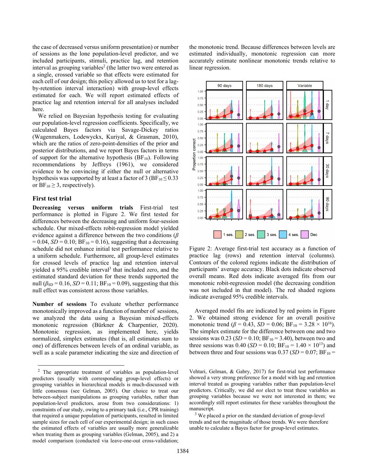the case of decreased versus uniform presentation) or number of sessions as the lone population-level predictor, and we included participants, stimuli, practice lag, and retention interval as grouping variables<sup>2</sup> (the latter two were entered as a single, crossed variable so that effects were estimated for each cell of our design; this policy allowed us to test for a lagby-retention interval interaction) with group-level effects estimated for each. We will report estimated effects of practice lag and retention interval for all analyses included here.

We relied on Bayesian hypothesis testing for evaluating our population-level regression coefficients. Specifically, we calculated Bayes factors via Savage-Dickey ratios (Wagenmakers, Lodewyckx, Kuriyal, & Grasman, 2010), which are the ratios of zero-point-densities of the prior and posterior distributions, and we report Bayes factors in terms of support for the alternative hypothesis ( $BF_{10}$ ). Following recommendations by Jeffreys (1961), we considered evidence to be convincing if either the null or alternative hypothesis was supported by at least a factor of 3 ( $BF_{10} \le 0.33$ ) or  $BF_{10} \geq 3$ , respectively).

#### **First test trial**

**Decreasing versus uniform trials** First-trial test performance is plotted in Figure 2. We first tested for differences between the decreasing and uniform four-session schedule. Our mixed-effects robit-regression model yielded evidence against a difference between the two conditions (*β*  $= 0.04, SD = 0.10; BF_{10} = 0.16$ , suggesting that a decreasing schedule did not enhance initial test performance relative to a uniform schedule. Furthermore, all group-level estimates for crossed levels of practice lag and retention interval yielded a 95% credible interval<sup>3</sup> that included zero, and the estimated standard deviation for these trends supported the null  $(\beta_{SD} = 0.16, SD = 0.11; BF_{10} = 0.09)$ , suggesting that this null effect was consistent across those variables.

**Number of sessions** To evaluate whether performance monotonically improved as a function of number of sessions, we analyzed the data using a Bayesian mixed-effects monotonic regression (Bürkner & Charpentier, 2020). Monotonic regression, as implemented here, yields normalized, simplex estimates (that is, all estimates sum to one) of differences between levels of an ordinal variable, as well as a scale parameter indicating the size and direction of the monotonic trend. Because differences between levels are estimated individually, monotonic regression can more accurately estimate nonlinear monotonic trends relative to linear regression.



Figure 2: Average first-trial test accuracy as a function of practice lag (rows) and retention interval (columns). Contours of the colored regions indicate the distribution of participants' average accuracy. Black dots indicate observed overall means. Red dots indicate averaged fits from our monotonic robit-regression model (the decreasing condition was not included in that model). The red shaded regions indicate averaged 95% credible intervals.

Averaged model fits are indicated by red points in Figure 2. We obtained strong evidence for an overall positive monotonic trend ( $\beta$  = 0.43, *SD* = 0.06; BF<sub>10</sub> = 3.28 × 10<sup>16</sup>). The simplex estimate for the difference between one and two sessions was  $0.23$  (*SD* = 0.10; BF<sub>10</sub> = 3.40), between two and three sessions was 0.40 (*SD* = 0.10; BF<sub>10</sub> = 1.40  $\times$  10<sup>13</sup>) and between three and four sessions was  $0.37$  (*SD* =  $0.07$ ; BF<sub>10</sub> =

Vehtari, Gelman, & Gabry, 2017) for first-trial test performance showed a very strong preference for a model with lag and retention interval treated as grouping variables rather than population-level predictors. Critically, we did *not* elect to treat these variables as grouping variables because we were not interested in them; we accordingly still report estimates for these variables throughout the manuscript. 3

<sup>3</sup> We placed a prior on the standard deviation of group-level trends and not the magnitude of those trends. We were therefore unable to calculate a Bayes factor for group-level estimates.

 $2$  The appropriate treatment of variables as population-level predictors (usually with corresponding group-level effects) or grouping variables in hierarchical models is much-discussed with little consensus (see Gelman, 2005). Our choice to treat our between-subject manipulations as grouping variables, rather than population-level predictors, arose from two considerations: 1) constraints of our study, owing to a primary task (i.e., CPR training) that required a unique population of participants, resulted in limited sample sizes for each cell of our experimental design; in such cases the estimated effects of variables are usually more generalizable when treating them as grouping variables (Gelman, 2005), and 2) a model comparison (conducted via leave-one-out cross-validation;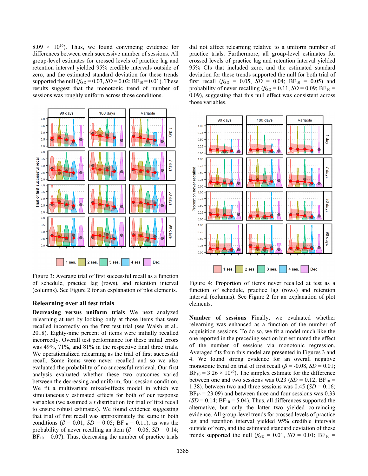$8.09 \times 10^{16}$ ). Thus, we found convincing evidence for differences between each successive number of sessions. All group-level estimates for crossed levels of practice lag and retention interval yielded 95% credible intervals outside of zero, and the estimated standard deviation for these trends supported the null  $(\beta_{SD} = 0.03, SD = 0.02; BF_{10} = 0.01)$ . These results suggest that the monotonic trend of number of sessions was roughly uniform across those conditions.



Figure 3: Average trial of first successful recall as a function of schedule, practice lag (rows), and retention interval (columns). See Figure 2 for an explanation of plot elements.

### **Relearning over all test trials**

**Decreasing versus uniform trials** We next analyzed relearning at test by looking only at those items that were recalled incorrectly on the first test trial (see Walsh et al., 2018). Eighty-nine percent of items were initially recalled incorrectly. Overall test performance for these initial errors was 49%, 71%, and 81% in the respective final three trials. We operationalized relearning as the trial of first successful recall. Some items were never recalled and so we also evaluated the probability of no successful retrieval. Our first analysis evaluated whether these two outcomes varied between the decreasing and uniform, four-session condition. We fit a multivariate mixed-effects model in which we simultaneously estimated effects for both of our response variables (we assumed a *t* distribution for trial of first recall to ensure robust estimates). We found evidence suggesting that trial of first recall was approximately the same in both conditions ( $\beta = 0.01$ , *SD* = 0.05; BF<sub>10</sub> = 0.11), as was the probability of never recalling an item ( $\beta$  = 0.06, *SD* = 0.14;  $BF_{10} = 0.07$ . Thus, decreasing the number of practice trials did not affect relearning relative to a uniform number of practice trials. Furthermore, all group-level estimates for crossed levels of practice lag and retention interval yielded 95% CIs that included zero, and the estimated standard deviation for these trends supported the null for both trial of first recall ( $\beta_{SD}$  = 0.05, *SD* = 0.04; BF<sub>10</sub> = 0.05) and probability of never recalling  $(\beta_{SD} = 0.11, SD = 0.09; BF_{10} =$ 0.09), suggesting that this null effect was consistent across those variables.



Figure 4: Proportion of items never recalled at test as a function of schedule, practice lag (rows) and retention interval (columns). See Figure 2 for an explanation of plot elements.

**Number of sessions** Finally, we evaluated whether relearning was enhanced as a function of the number of acquisition sessions. To do so, we fit a model much like the one reported in the preceding section but estimated the effect of the number of sessions via monotonic regression. Averaged fits from this model are presented in Figures 3 and 4. We found strong evidence for an overall negative monotonic trend on trial of first recall ( $\beta$  = -0.08, *SD* = 0.01;  $BF_{10} = 3.26 \times 10^{26}$ ). The simplex estimate for the difference between one and two sessions was  $0.23$  (*SD* = 0.12; BF<sub>10</sub> = 1.38), between two and three sessions was  $0.45$  (*SD* = 0.16;  $BF_{10} = 23.09$  and between three and four sessions was 0.33  $(SD = 0.14; BF_{10} = 5.04)$ . Thus, all differences supported the alternative, but only the latter two yielded convincing evidence. All group-level trends for crossed levels of practice lag and retention interval yielded 95% credible intervals outside of zero, and the estimated standard deviation of these trends supported the null  $(\beta_{SD} = 0.01, SD = 0.01; BF_{10} =$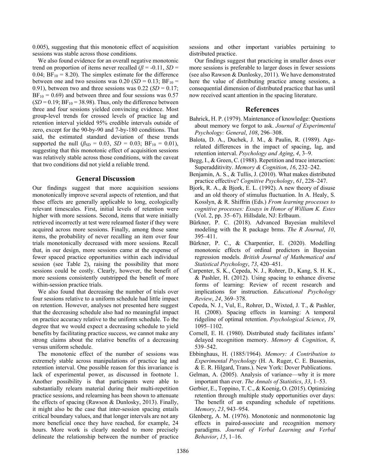0.005), suggesting that this monotonic effect of acquisition sessions was stable across those conditions.

We also found evidence for an overall negative monotonic trend on proportion of items never recalled ( $\beta$  = -0.11, *SD* = 0.04;  $BF_{10} = 8.20$ ). The simplex estimate for the difference between one and two sessions was  $0.20$  (*SD* = 0.13; BF<sub>10</sub> = 0.91), between two and three sessions was  $0.22$  (*SD* = 0.17;  $BF_{10} = 0.69$  and between three and four sessions was 0.57  $(SD = 0.19; BF_{10} = 38.98)$ . Thus, only the difference between three and four sessions yielded convincing evidence. Most group-level trends for crossed levels of practice lag and retention interval yielded 95% credible intervals outside of zero, except for the 90-by-90 and 7-by-180 conditions. That said, the estimated standard deviation of these trends supported the null  $(\beta_{SD} = 0.03, SD = 0.03; BF_{10} = 0.01)$ , suggesting that this monotonic effect of acquisition sessions was relatively stable across those conditions, with the caveat that two conditions did not yield a reliable trend.

#### **General Discussion**

Our findings suggest that more acquisition sessions monotonically improve several aspects of retention, and that these effects are generally applicable to long, ecologically relevant timescales. First, initial levels of retention were higher with more sessions. Second, items that were initially retrieved incorrectly at test were relearned faster if they were acquired across more sessions. Finally, among those same items, the probability of never recalling an item over four trials monotonically decreased with more sessions. Recall that, in our design, more sessions came at the expense of fewer spaced practice opportunities within each individual session (see Table 2), raising the possibility that more sessions could be costly. Clearly, however, the benefit of more sessions consistently outstripped the benefit of more within-session practice trials.

We also found that decreasing the number of trials over four sessions relative to a uniform schedule had little impact on retention. However, analyses not presented here suggest that the decreasing schedule also had no meaningful impact on practice accuracy relative to the uniform schedule. To the degree that we would expect a decreasing schedule to yield benefits by facilitating practice success, we cannot make any strong claims about the relative benefits of a decreasing versus uniform schedule.

The monotonic effect of the number of sessions was extremely stable across manipulations of practice lag and retention interval. One possible reason for this invariance is lack of experimental power, as discussed in footnote 1. Another possibility is that participants were able to substantially relearn material during their multi-repetition practice sessions, and relearning has been shown to attenuate the effects of spacing (Rawson & Dunlosky, 2013). Finally, it might also be the case that inter-session spacing entails critical boundary values, and that longer intervals are not any more beneficial once they have reached, for example, 24 hours. More work is clearly needed to more precisely delineate the relationship between the number of practice sessions and other important variables pertaining to distributed practice.

Our findings suggest that practicing in smaller doses over more sessions is preferable to larger doses in fewer sessions (see also Rawson & Dunlosky, 2011). We have demonstrated here the value of distributing practice among sessions, a consequential dimension of distributed practice that has until now received scant attention in the spacing literature.

#### **References**

- Bahrick, H. P. (1979). Maintenance of knowledge: Questions about memory we forgot to ask. *Journal of Experimental Psychology: General*, *108*, 296–308.
- Balota, D. A., Duchek, J. M., & Paulin, R. (1989). Agerelated differences in the impact of spacing, lag, and retention interval. *Psychology and Aging*, *4*, 3–9.
- Begg, I., & Green, C. (1988). Repetition and trace interaction: Superadditivity. *Memory & Cognition*, *16*, 232–242.
- Benjamin, A. S., & Tullis, J. (2010). What makes distributed practice effective? *Cognitive Psychology*, *61*, 228–247.
- Bjork, R. A., & Bjork, E. L. (1992). A new theory of disuse and an old theory of stimulus fluctuation. In A. Healy, S. Kosslyn, & R. Shiffrin (Eds.) *From learning processes to cognitive processes: Essays in Honor of William K. Estes* (Vol. 2, pp. 35–67). Hillsdale, NJ: Erlbaum.
- Bürkner, P. C. (2018). Advanced Bayesian multilevel modeling with the R package brms. *The R Journal*, *10*, 395–411.
- Bürkner, P. C., & Charpentier, E. (2020). Modelling monotonic effects of ordinal predictors in Bayesian regression models. *British Journal of Mathematical and Statistical Psychology*, *73*, 420–451.
- Carpenter, S. K., Cepeda, N. J., Rohrer, D., Kang, S. H. K., & Pashler, H. (2012). Using spacing to enhance diverse forms of learning: Review of recent research and implications for instruction. *Educational Psychology Review*, *24*, 369–378.
- Cepeda, N. J., Vul, E., Rohrer, D., Wixted, J. T., & Pashler, H. (2008). Spacing effects in learning: A temporal ridgeline of optimal retention. *Psychological Science*, *19*, 1095–1102.
- Cornell, E. H. (1980). Distributed study facilitates infants' delayed recognition memory. *Memory & Cognition*, *8*, 539–542.
- Ebbinghaus, H. (1885/1964). *Memory: A Contribution to Experimental Psychology* (H. A. Ruger, C. E. Bussenius, & E. R. Hilgard, Trans.). New York: Dover Publications.
- Gelman, A. (2005). Analysis of variance—why it is more important than ever. *The Annals of Statistics*, *33*, 1–53.
- Gerbier, E., Toppino, T. C., & Koenig, O. (2015). Optimizing retention through multiple study opportunities over days: The benefit of an expanding schedule of repetitions. *Memory*, *23*, 943–954.
- Glenberg, A. M. (1976). Monotonic and nonmonotonic lag effects in paired-associate and recognition memory paradigms. *Journal of Verbal Learning and Verbal Behavior*, *15*, 1–16.